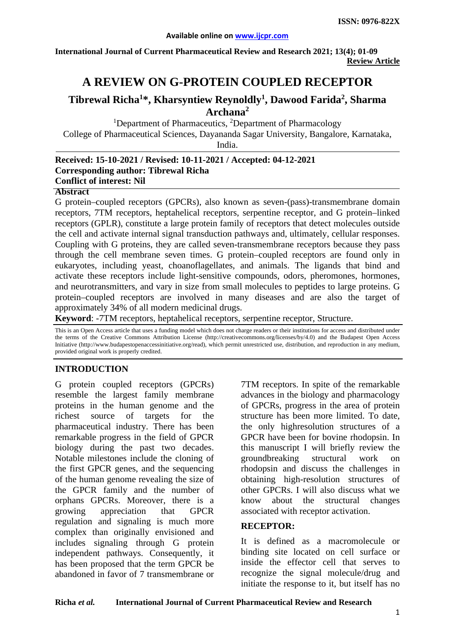**International Journal of Current Pharmaceutical Review and Research 2021; 13(4); 01-09 Review Article**

# **A REVIEW ON G-PROTEIN COUPLED RECEPTOR**

### **Tibrewal Richa<sup>1</sup> \*, Kharsyntiew Reynoldly1 , Dawood Farida<sup>2</sup> , Sharma Archana2**

<sup>1</sup>Department of Pharmaceutics, <sup>2</sup>Department of Pharmacology College of Pharmaceutical Sciences, Dayananda Sagar University, Bangalore, Karnataka, India.

#### **Received: 15-10-2021 / Revised: 10-11-2021 / Accepted: 04-12-2021 Corresponding author: Tibrewal Richa Conflict of interest: Nil**

**Abstract**

G protein–coupled receptors (GPCRs), also known as seven-(pass)-transmembrane domain receptors, 7TM receptors, heptahelical receptors, serpentine receptor, and G protein–linked receptors (GPLR), constitute a large protein family of receptors that detect molecules outside the cell and activate internal signal transduction pathways and, ultimately, cellular responses. Coupling with G proteins, they are called seven-transmembrane receptors because they pass through the cell membrane seven times. G protein–coupled receptors are found only in eukaryotes, including yeast, choanoflagellates, and animals. The ligands that bind and activate these receptors include light-sensitive compounds, odors, pheromones, hormones, and neurotransmitters, and vary in size from small molecules to peptides to large proteins. G protein–coupled receptors are involved in many diseases and are also the target of approximately 34% of all modern medicinal drugs.

**Keyword**: -7TM receptors, heptahelical receptors, serpentine receptor, Structure.

This is an Open Access article that uses a funding model which does not charge readers or their institutions for access and distributed under the terms of the Creative Commons Attribution License (http://creativecommons.org/licenses/by/4.0) and the Budapest Open Access Initiative (http://www.budapestopenaccessinitiative.org/read), which permit unrestricted use, distribution, and reproduction in any medium, provided original work is properly credited.

### **INTRODUCTION**

G protein coupled receptors (GPCRs) resemble the largest family membrane proteins in the human genome and the richest source of targets for the pharmaceutical industry. There has been remarkable progress in the field of GPCR biology during the past two decades. Notable milestones include the cloning of the first GPCR genes, and the sequencing of the human genome revealing the size of the GPCR family and the number of orphans GPCRs. Moreover, there is a growing appreciation that GPCR regulation and signaling is much more complex than originally envisioned and includes signaling through G protein independent pathways. Consequently, it has been proposed that the term GPCR be abandoned in favor of 7 transmembrane or

7TM receptors. In spite of the remarkable advances in the biology and pharmacology of GPCRs, progress in the area of protein structure has been more limited. To date, the only highresolution structures of a GPCR have been for bovine rhodopsin. In this manuscript I will briefly review the groundbreaking structural work on rhodopsin and discuss the challenges in obtaining high-resolution structures of other GPCRs. I will also discuss what we know about the structural changes associated with receptor activation.

#### **RECEPTOR:**

It is defined as a macromolecule or binding site located on cell surface or inside the effector cell that serves to recognize the signal molecule/drug and initiate the response to it, but itself has no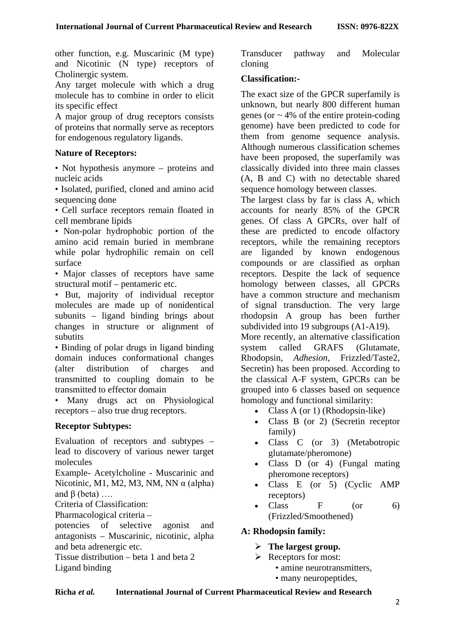other function, e.g. Muscarinic (M type) and Nicotinic (N type) receptors of Cholinergic system.

Any target molecule with which a drug molecule has to combine in order to elicit its specific effect

A major group of drug receptors consists of proteins that normally serve as receptors for endogenous regulatory ligands.

#### **Nature of Receptors:**

• Not hypothesis anymore – proteins and nucleic acids

• Isolated, purified, cloned and amino acid sequencing done

• Cell surface receptors remain floated in cell membrane lipids

• Non-polar hydrophobic portion of the amino acid remain buried in membrane while polar hydrophilic remain on cell surface

• Major classes of receptors have same structural motif – pentameric etc.

• But, majority of individual receptor molecules are made up of nonidentical subunits – ligand binding brings about changes in structure or alignment of subutits

• Binding of polar drugs in ligand binding domain induces conformational changes (alter distribution of charges and transmitted to coupling domain to be transmitted to effector domain

• Many drugs act on Physiological receptors – also true drug receptors.

### **Receptor Subtypes:**

Evaluation of receptors and subtypes – lead to discovery of various newer target molecules

Example- Acetylcholine - Muscarinic and Nicotinic, M1, M2, M3, NM, NN α (alpha) and  $β$  (beta) ...

Criteria of Classification:

Pharmacological criteria –

potencies of selective agonist and antagonists – Muscarinic, nicotinic, alpha and beta adrenergic etc.

Tissue distribution – beta 1 and beta 2 Ligand binding

Transducer pathway and Molecular cloning

#### **Classification:-**

The exact size of the GPCR superfamily is unknown, but nearly 800 different [human](https://en.wikipedia.org/wiki/Human) [genes](https://en.wikipedia.org/wiki/Genes) (or  $\sim$  4% of the entire [protein-coding](https://en.wikipedia.org/wiki/Protein_biosynthesis) [genome\)](https://en.wikipedia.org/wiki/Genome) have been predicted to code for them from genome [sequence analysis.](https://en.wikipedia.org/wiki/Sequence_analysis) Although numerous classification schemes have been proposed, the superfamily was classically divided into three main classes (A, B and C) with no detectable shared [sequence homology](https://en.wikipedia.org/wiki/Sequence_homology) between classes.

The largest class by far is class A, which accounts for nearly 85% of the GPCR genes. Of class A GPCRs, over half of these are predicted to encode [olfactory](https://en.wikipedia.org/wiki/Olfactory_receptors)  [receptors,](https://en.wikipedia.org/wiki/Olfactory_receptors) while the remaining receptors are [liganded](https://en.wikipedia.org/wiki/Ligand_%28biochemistry%29) by known [endogenous](https://en.wikipedia.org/wiki/Endogenous) [compounds](https://en.wikipedia.org/wiki/Chemical_compound) or are classified as [orphan](https://en.wikipedia.org/wiki/Orphan_receptor)  [receptors.](https://en.wikipedia.org/wiki/Orphan_receptor) Despite the lack of sequence homology between classes, all GPCRs have a common [structure](https://en.wikipedia.org/wiki/Protein_tertiary_structure) and mechanism of [signal transduction.](https://en.wikipedia.org/wiki/Signal_transduction) The very large rhodopsin A group has been further subdivided into 19 subgroups [\(A1-A19\)](https://en.wikipedia.org/wiki/Rhodopsin-like_receptors#Classes).

More recently, an alternative classification system called GRAFS [\(Glutamate,](https://en.wikipedia.org/wiki/Metabotropic_glutamate_receptor) [Rhodopsin,](https://en.wikipedia.org/wiki/Rhodopsin) *[Adhesion](https://en.wikipedia.org/wiki/Adhesion-GPCRs)*, [Frizzled](https://en.wikipedia.org/wiki/Frizzled)[/Taste2,](https://en.wikipedia.org/wiki/Taste_receptor) [Secretin\)](https://en.wikipedia.org/wiki/Secretin_receptor) has been proposed. According to the classical A-F system, GPCRs can be grouped into 6 classes based on sequence homology and functional similarity:

- Class A (or 1) [\(Rhodopsin-like\)](https://en.wikipedia.org/wiki/Rhodopsin-like_receptors)
- Class B (or 2) [\(Secretin receptor](https://en.wikipedia.org/wiki/Secretin_receptor_family)  [family\)](https://en.wikipedia.org/wiki/Secretin_receptor_family)
- [Class C](https://en.wikipedia.org/wiki/Class_C_GPCR) (or 3) (Metabotropic [glutamate/](https://en.wikipedia.org/wiki/Metabotropic_glutamate_receptor)pheromone)
- Class D (or 4) [\(Fungal mating](https://en.wikipedia.org/wiki/Fungal_mating_pheromone_receptors)  [pheromone receptors\)](https://en.wikipedia.org/wiki/Fungal_mating_pheromone_receptors)
- Class E (or 5) (Cyclic AMP [receptors\)](https://en.wikipedia.org/wiki/Cyclic_AMP_receptors)
- Class  $F$  (or 6) [\(Frizzled/](https://en.wikipedia.org/wiki/Frizzled)[Smoothened\)](https://en.wikipedia.org/wiki/Smoothened)

### **A: Rhodopsin family:**

- **The largest group.**
- $\triangleright$  Receptors for most:
	- amine neurotransmitters,
	- many neuropeptides,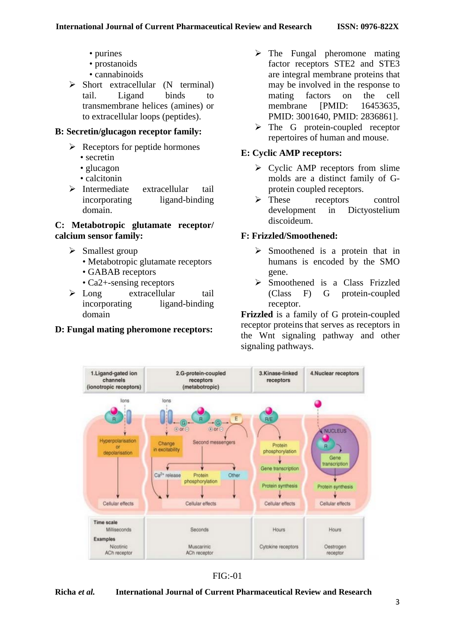- purines
- prostanoids
- cannabinoids
- $\triangleright$  Short extracellular (N terminal) tail. Ligand binds to transmembrane helices (amines) or to extracellular loops (peptides).

### **B: Secretin/glucagon receptor family:**

- $\triangleright$  Receptors for peptide hormones
	- secretin
	- glucagon
	- calcitonin
- $\triangleright$  Intermediate extracellular tail incorporating ligand-binding domain.

### **C: Metabotropic glutamate receptor/ calcium sensor family:**

- $\triangleright$  Smallest group
	- Metabotropic glutamate receptors
	- GABAB receptors
	- Ca<sub>2+</sub>-sensing receptors
- $\triangleright$  Long extracellular tail incorporating ligand-binding domain

### **D: Fungal mating pheromone receptors:**

- $\triangleright$  The Fungal pheromone mating factor receptors STE2 and STE3 are integral membrane proteins that may be involved in the response to mating factors on the cell membrane [PMID: 16453635] PMID: 3001640, PMID: 2836861].
- $\triangleright$  The G protein-coupled receptor repertoires of human and mouse.

### **E: Cyclic AMP receptors:**

- $\triangleright$  Cyclic AMP receptors from slime [molds](https://en.wikipedia.org/wiki/Slime_mold) are a distinct family of [G](https://en.wikipedia.org/wiki/G-protein_coupled_receptors)[protein coupled receptors.](https://en.wikipedia.org/wiki/G-protein_coupled_receptors)
- $\triangleright$  These receptors control development in [Dictyostelium](https://en.wikipedia.org/wiki/Dictyostelium_discoideum)  [discoideum.](https://en.wikipedia.org/wiki/Dictyostelium_discoideum)

### **F: Frizzled[/Smoothened:](https://en.wikipedia.org/wiki/Smoothened)**

- $\triangleright$  Smoothened is a [protein](https://en.wikipedia.org/wiki/Protein) that in humans is encoded by the SMO [gene.](https://en.wikipedia.org/wiki/Gene)
- $\triangleright$  Smoothened is a Class [Frizzled](https://en.wikipedia.org/wiki/Frizzled) (Class F) [G protein-coupled](https://en.wikipedia.org/wiki/G_protein-coupled_receptor)  [receptor.](https://en.wikipedia.org/wiki/G_protein-coupled_receptor)

**Frizzled** is a family of [G protein-coupled](https://en.wikipedia.org/wiki/G_protein-coupled_receptor)  [receptor](https://en.wikipedia.org/wiki/G_protein-coupled_receptor) proteins that serves as receptors in the [Wnt signaling pathway](https://en.wikipedia.org/wiki/Wnt_signaling_pathway) and other signaling pathways.



 $FIG: 01$ 

#### **Richa** *et al.* **International Journal of Current Pharmaceutical Review and Research**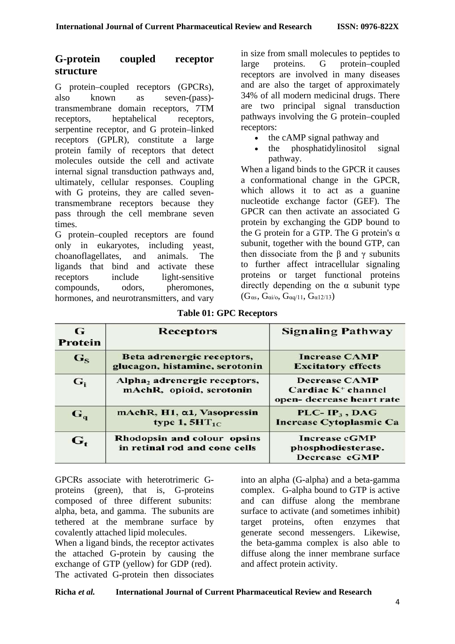## **G-protein coupled receptor structure**

G protein–coupled receptors (GPCRs), also known as seven-(pass) transmembrane domain receptors, 7TM receptors, heptahelical receptors, serpentine receptor, and G protein–linked receptors (GPLR), constitute a large [protein](https://en.wikipedia.org/wiki/Protein) family of [receptors](https://en.wikipedia.org/wiki/Membrane_receptor) that detect [molecules](https://en.wikipedia.org/wiki/Molecule) outside the [cell](https://en.wikipedia.org/wiki/Cell_%28biology%29) and activate internal [signal transduction](https://en.wikipedia.org/wiki/Signal_transduction) pathways and, ultimately, cellular responses. Coupling with [G proteins,](https://en.wikipedia.org/wiki/G_protein) they are called seventransmembrane receptors because they pass through the cell membrane seven times.

G protein–coupled receptors are found only in [eukaryotes,](https://en.wikipedia.org/wiki/Eukaryote) including [yeast,](https://en.wikipedia.org/wiki/Yeast) [choanoflagellates,](https://en.wikipedia.org/wiki/Choanoflagellate) and animals. The [ligands](https://en.wikipedia.org/wiki/Ligand_%28biochemistry%29) that bind and activate these receptors include light-sensitive compounds, [odors,](https://en.wikipedia.org/wiki/Odor) [pheromones,](https://en.wikipedia.org/wiki/Pheromone) [hormones,](https://en.wikipedia.org/wiki/Hormone) and [neurotransmitters,](https://en.wikipedia.org/wiki/Neurotransmitter) and vary

in size from small molecules to [peptides](https://en.wikipedia.org/wiki/Peptide) to large [proteins.](https://en.wikipedia.org/wiki/Protein) G protein–coupled receptors are involved in many diseases and are also the target of approximately 34% of all modern medicinal drugs. There are two principal signal transduction pathways involving the G protein–coupled receptors:

- the [cAMP](https://en.wikipedia.org/wiki/Cyclic_adenosine_monophosphate) signal pathway and
- the [phosphatidylinositol](https://en.wikipedia.org/wiki/Phosphatidylinositol) signal pathway.

When a ligand binds to the GPCR it causes a conformational change in the GPCR, which allows it to act as a guanine [nucleotide exchange factor](https://en.wikipedia.org/wiki/Guanine_nucleotide_exchange_factor) (GEF). The GPCR can then activate an associated [G](https://en.wikipedia.org/wiki/G_protein)  [protein](https://en.wikipedia.org/wiki/G_protein) by exchanging the [GDP](https://en.wikipedia.org/wiki/Guanosine_diphosphate) bound to the G protein for a [GTP.](https://en.wikipedia.org/wiki/Guanosine_triphosphate) The G protein's  $\alpha$ subunit, together with the bound GTP, can then dissociate from the β and  $γ$  subunits to further affect intracellular signaling proteins or target functional proteins directly depending on the  $\alpha$  subunit type  $(G_{\alpha s}, G_{\alpha i/\alpha}, G_{\alpha q/11}, G_{\alpha 12/13})$  $(G_{\alpha s}, G_{\alpha i/\alpha}, G_{\alpha q/11}, G_{\alpha 12/13})$  $(G_{\alpha s}, G_{\alpha i/\alpha}, G_{\alpha q/11}, G_{\alpha 12/13})$  $(G_{\alpha s}, G_{\alpha i/\alpha}, G_{\alpha q/11}, G_{\alpha 12/13})$ 

| G<br>Protein              | Receptors                                                    | <b>Signaling Pathway</b>                                                  |  |
|---------------------------|--------------------------------------------------------------|---------------------------------------------------------------------------|--|
| $G_{S}$                   | Beta adrenergic receptors,<br>glucagon, histamine, serotonin | <b>Increase CAMP</b><br><b>Excitatory effects</b>                         |  |
| $G_i$                     | Alpha, adrenergic receptors,<br>mAchR, opioid, serotonin     | <b>Decrease CAMP</b><br>Cardiac $K^+$ channel<br>open-decrease heart rate |  |
| $\mathbf{G}_{\mathbf{q}}$ | mAchR, H1, a1, Vasopressin<br>type $1, 5HT_{1C}$             | $PLC-IP_3$ , DAG<br><b>Increase Cytoplasmic Ca</b>                        |  |
| $G_{t}$                   | Rhodopsin and colour opsins<br>in retinal rod and cone cells | <b>Increase cGMP</b><br>phosphodiesterase.<br>Decrease cGMP               |  |

**Table 01: GPC Receptors**

GPCRs associate with heterotrimeric Gproteins (green), that is, G-proteins composed of three different subunits: alpha, beta, and gamma. The subunits are tethered at the membrane surface by covalently attached lipid molecules.

When a ligand binds, the receptor activates the attached G-protein by causing the exchange of GTP (yellow) for GDP (red). The activated G-protein then dissociates into an alpha (G-alpha) and a beta-gamma complex. G-alpha bound to GTP is active and can diffuse along the membrane surface to activate (and sometimes inhibit) target proteins, often enzymes that generate second messengers. Likewise, the beta-gamma complex is also able to diffuse along the inner membrane surface and affect protein activity.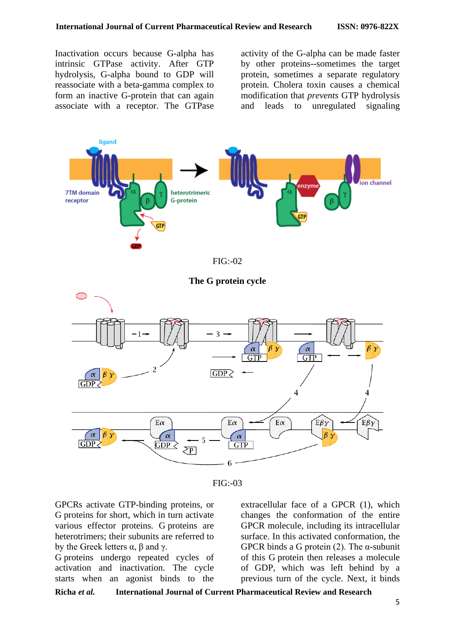Inactivation occurs because G-alpha has intrinsic GTPase activity. After GTP hydrolysis, G-alpha bound to GDP will reassociate with a beta-gamma complex to form an inactive G-protein that can again associate with a receptor. The GTPase

activity of the G-alpha can be made faster by other proteins--sometimes the target protein, sometimes a separate regulatory protein. Cholera toxin causes a chemical modification that *prevents* GTP hydrolysis and leads to unregulated signaling





GPCRs activate GTP-binding proteins, or G proteins for short, which in turn activate various effector proteins. G proteins are heterotrimers; their subunits are referred to by the Greek letters  $\alpha$ ,  $\beta$  and  $\gamma$ .

G proteins undergo repeated cycles of activation and inactivation. The cycle starts when an agonist binds to the

extracellular face of a GPCR (1), which changes the conformation of the entire GPCR molecule, including its intracellular surface. In this activated conformation, the GPCR binds a G protein (2). The  $\alpha$ -subunit of this G protein then releases a molecule of GDP, which was left behind by a previous turn of the cycle. Next, it binds

**Richa** *et al.* **International Journal of Current Pharmaceutical Review and Research**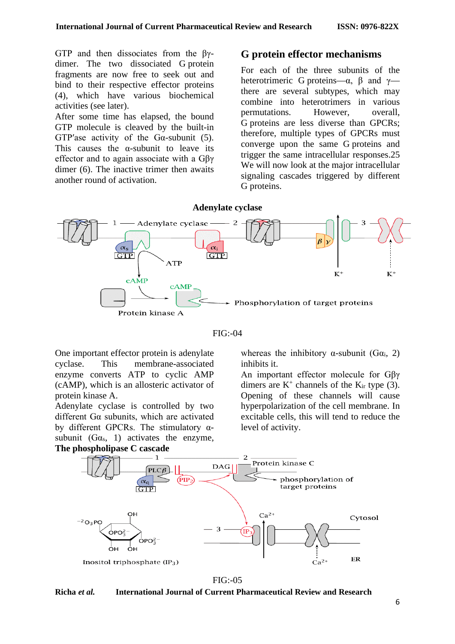GTP and then dissociates from the βγdimer. The two dissociated G protein fragments are now free to seek out and bind to their respective effector proteins (4), which have various biochemical activities (see later).

After some time has elapsed, the bound GTP molecule is cleaved by the built-in GTP'ase activity of the G $\alpha$ -subunit (5). This causes the  $\alpha$ -subunit to leave its effector and to again associate with a Gβγ dimer (6). The inactive trimer then awaits another round of activation.

### **G protein effector mechanisms**

For each of the three subunits of the heterotrimeric G proteins— $\alpha$ ,  $\beta$  and  $\gamma$  there are several subtypes, which may combine into heterotrimers in various permutations. However, overall, G proteins are less diverse than GPCRs; therefore, multiple types of GPCRs must converge upon the same G proteins and trigger the same intracellular responses.25 We will now look at the major intracellular signaling cascades triggered by different G proteins.



FIG:-04

One important effector protein is adenylate cyclase. This membrane-associated enzyme converts ATP to cyclic AMP (cAMP), which is an allosteric activator of protein kinase A.

Adenylate cyclase is controlled by two different Gα subunits, which are activated by different GPCRs. The stimulatory  $\alpha$ subunit  $(G\alpha_s, 1)$  activates the enzyme, **The phospholipase C cascade**

whereas the inhibitory  $\alpha$ -subunit (G $\alpha$ <sub>i</sub>, 2) inhibits it.

An important effector molecule for Gβγ dimers are  $K^+$  channels of the  $K_{ir}$  type (3). Opening of these channels will cause hyperpolarization of the cell membrane. In excitable cells, this will tend to reduce the level of activity.



 $FIG: 05$ 

**Richa** *et al.* **International Journal of Current Pharmaceutical Review and Research**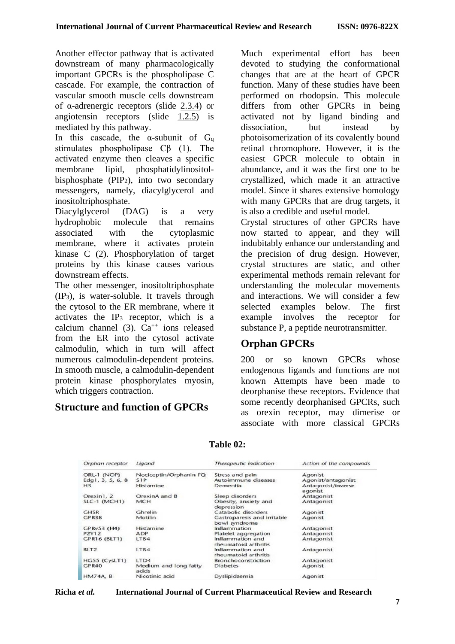Another effector pathway that is activated downstream of many pharmacologically important GPCRs is the phospholipase C cascade. For example, the contraction of vascular smooth muscle cells downstream of α-adrenergic receptors (slide [2.3.4\)](http://watcut.uwaterloo.ca/webnotes/Pharmacology/Pharmacodynamics.html#slide-dynamicsTolazolineDibenamineCurves) or angiotensin receptors (slide [1.2.5\)](http://watcut.uwaterloo.ca/webnotes/Pharmacology/Introduction.html#slide-introAngiotensinSketch) is mediated by this pathway.

In this cascade, the  $\alpha$ -subunit of  $G_q$ stimulates phospholipase Cβ (1). The activated enzyme then cleaves a specific membrane lipid, phosphatidylinositolbisphosphate (PIP2), into two secondary messengers, namely, diacylglycerol and inositoltriphosphate.

Diacylglycerol (DAG) is a very hydrophobic molecule that remains associated with the cytoplasmic membrane, where it activates protein kinase C (2). Phosphorylation of target proteins by this kinase causes various downstream effects.

The other messenger, inositoltriphosphate (IP3), is water-soluble. It travels through the cytosol to the ER membrane, where it activates the  $IP_3$  receptor, which is a calcium channel (3).  $Ca^{++}$  ions released from the ER into the cytosol activate calmodulin, which in turn will affect numerous calmodulin-dependent proteins. In smooth muscle, a calmodulin-dependent protein kinase phosphorylates myosin, which triggers contraction.

## **Structure and function of GPCRs**

Much experimental effort has been devoted to studying the conformational changes that are at the heart of GPCR function. Many of these studies have been performed on rhodopsin. This molecule differs from other GPCRs in being activated not by ligand binding and dissociation, but instead by photoisomerization of its covalently bound retinal chromophore. However, it is the easiest GPCR molecule to obtain in abundance, and it was the first one to be crystallized, which made it an attractive model. Since it shares extensive homology with many GPCRs that are drug targets, it is also a credible and useful model.

Crystal structures of other GPCRs have now started to appear, and they will indubitably enhance our understanding and the precision of drug design. However, crystal structures are static, and other experimental methods remain relevant for understanding the molecular movements and interactions. We will consider a few selected examples below. The first example involves the receptor for substance P, a peptide neurotransmitter.

# **Orphan GPCRs**

200 or so known GPCRs whose endogenous ligands and functions are not known Attempts have been made to deorphanise these receptors. Evidence that some recently deorphanised GPCRs, such as orexin receptor, may dimerise or associate with more classical GPCRs

| Orphan receptor     | Ligand                         | Therapeutic indication                       | Action of the compounds       |
|---------------------|--------------------------------|----------------------------------------------|-------------------------------|
| ORL-1 (NOP)         | Nociceptin/Orphanin FQ         | Stress and pain                              | Agonist                       |
| Edg1, $3, 5, 6, 8$  | S <sub>1</sub> P               | Autoimmune diseases                          | Agonist/antagonist            |
| H <sub>3</sub>      | Histamine                      | Dementia                                     | Antagonist/inverse<br>agonist |
| Orexin1, 2          | OrexinA and B                  | Sleep disorders                              | Antagonist                    |
| <b>SLC-1 (MCH1)</b> | <b>MCH</b>                     | Obesity, anxiety and<br>depression           | Antagonist                    |
| <b>GHSR</b>         | Ghrelin                        | Catabolic disorders                          | Agonist                       |
| GPR38               | Motilin                        | Gastroparesis and irritable<br>bowl syndrome | Agonist                       |
| GPRv53 (H4)         | Histamine                      | Inflammation                                 | Antagonist                    |
| P2Y12               | ADP                            | Platelet aggregation                         | Antagonist                    |
| <b>GPR16 (BLT1)</b> | LTB4                           | Inflammation and<br>rheumatoid arthritis     | Antagonist                    |
| BLT <sub>2</sub>    | ITB4                           | Inflammation and<br>rheumatoid arthritis     | Antagonist                    |
| HG55 (CysLT1)       | LTD4                           | Bronchoconstriction                          | Antagonist                    |
| GPR40               | Medium and long fatty<br>acids | <b>Diabetes</b>                              | Agonist                       |
| <b>HM74A, B</b>     | Nicotinic acid                 | Dyslipidaemia                                | Agonist                       |

## **Table 02:**

**Richa** *et al.* **International Journal of Current Pharmaceutical Review and Research**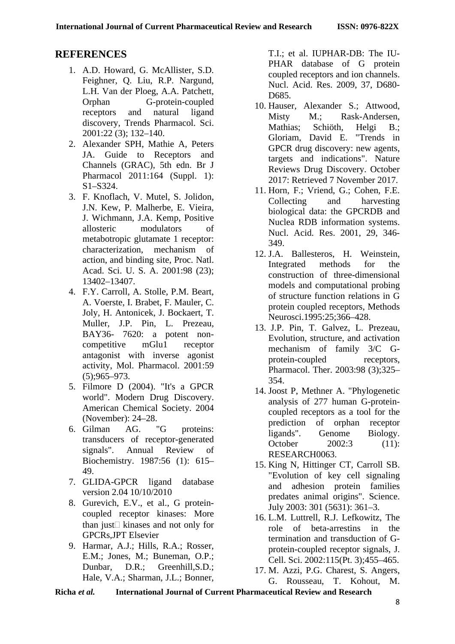# **REFERENCES**

- 1. A.D. Howard, G. McAllister, S.D. Feighner, Q. Liu, R.P. Nargund, L.H. Van der Ploeg, A.A. Patchett, Orphan G-protein-coupled receptors and natural ligand discovery, Trends Pharmacol. Sci. 2001:22 (3); 132–140.
- 2. Alexander SPH, Mathie A, Peters JA. Guide to Receptors and Channels (GRAC), 5th edn. Br J Pharmacol 2011:164 (Suppl. 1): S1–S324.
- 3. F. Knoflach, V. Mutel, S. Jolidon, J.N. Kew, P. Malherbe, E. Vieira, J. Wichmann, J.A. Kemp, Positive allosteric modulators of metabotropic glutamate 1 receptor: characterization, mechanism of action, and binding site, Proc. Natl. Acad. Sci. U. S. A. 2001:98 (23); 13402–13407.
- 4. F.Y. Carroll, A. Stolle, P.M. Beart, A. Voerste, I. Brabet, F. Mauler, C. Joly, H. Antonicek, J. Bockaert, T. Muller, J.P. Pin, L. Prezeau, BAY36- 7620: a potent noncompetitive mGlu1 receptor antagonist with inverse agonist activity, Mol. Pharmacol. 2001:59 (5);965–973.
- 5. Filmore D (2004). ["It's a GPCR](http://pubs.acs.org/subscribe/journals/mdd/v07/i11/html/1104feature_filmore.html)  [world".](http://pubs.acs.org/subscribe/journals/mdd/v07/i11/html/1104feature_filmore.html) Modern Drug Discovery. American Chemical Society. 2004 (November): 24–28.
- 6. Gilman AG. "G proteins: transducers of receptor-generated signals". Annual Review of Biochemistry. 1987:56 (1): 615– 49.
- 7. GLIDA-GPCR ligand database version 2.04 10/10/2010
- 8. Gurevich, E.V., et al., G proteincoupled receptor kinases: More than just kinases and not only for GPCRs,JPT Elsevier
- 9. Harmar, A.J.; Hills, R.A.; Rosser, E.M.; Jones, M.; Buneman, O.P.; Dunbar, D.R.; Greenhill,S.D.; Hale, V.A.; Sharman, J.L.; Bonner,

T.I.; et al. IUPHAR-DB: The IU-PHAR database of G protein coupled receptors and ion channels. Nucl. Acid. Res. 2009, 37, D680- D<sub>685</sub>.

- 10. Hauser, Alexander S.; Attwood, Misty M.; Rask-Andersen, Mathias; Schiöth, Helgi B.; Gloriam, David E. ["Trends in](https://www.nature.com/nrd/journal/vaop/ncurrent/full/nrd.2017.178.html)  [GPCR drug discovery: new agents,](https://www.nature.com/nrd/journal/vaop/ncurrent/full/nrd.2017.178.html)  [targets and indications".](https://www.nature.com/nrd/journal/vaop/ncurrent/full/nrd.2017.178.html) Nature Reviews Drug Discovery. October 2017: Retrieved 7 November 2017.
- 11. Horn, F.; Vriend, G.; Cohen, F.E. Collecting and harvesting biological data: the GPCRDB and Nuclea RDB information systems. Nucl. Acid. Res. 2001, 29, 346- 349.
- 12. J.A. Ballesteros, H. Weinstein, Integrated methods for the construction of three-dimensional models and computational probing of structure function relations in G protein coupled receptors, Methods Neurosci.1995:25;366–428.
- 13. J.P. Pin, T. Galvez, L. Prezeau, Evolution, structure, and activation mechanism of family 3/C Gprotein-coupled receptors, Pharmacol. Ther. 2003:98 (3);325– 354.
- 14. Joost P, Methner A. ["Phylogenetic](https://www.ncbi.nlm.nih.gov/pmc/articles/PMC133447)  [analysis of 277 human G-protein](https://www.ncbi.nlm.nih.gov/pmc/articles/PMC133447)[coupled receptors as a tool for the](https://www.ncbi.nlm.nih.gov/pmc/articles/PMC133447)  [prediction of orphan receptor](https://www.ncbi.nlm.nih.gov/pmc/articles/PMC133447)  [ligands".](https://www.ncbi.nlm.nih.gov/pmc/articles/PMC133447) Genome Biology. October 2002:3 (11): RESEARCH0063.
- 15. King N, Hittinger CT, Carroll SB. "Evolution of key cell signaling and adhesion protein families predates animal origins". Science. July 2003: 301 (5631): 361–3.
- 16. L.M. Luttrell, R.J. Lefkowitz, The role of beta-arrestins in the termination and transduction of Gprotein-coupled receptor signals, J. Cell. Sci. 2002:115(Pt. 3);455–465.
- 17. M. Azzi, P.G. Charest, S. Angers, G. Rousseau, T. Kohout, M.

**Richa** *et al.* **International Journal of Current Pharmaceutical Review and Research**